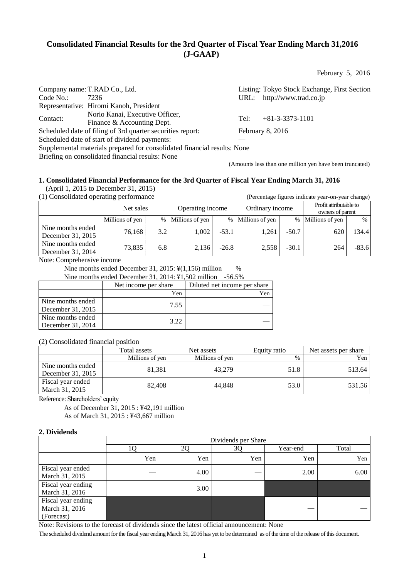# **Consolidated Financial Results for the 3rd Quarter of Fiscal Year Ending March 31,2016 (J-GAAP)**

February 5, 2016

|          | Company name: T.RAD Co., Ltd.                                            |      | Listing: Tokyo Stock Exchange, First Section |
|----------|--------------------------------------------------------------------------|------|----------------------------------------------|
| Code No. | 7236                                                                     |      | URL: http://www.trad.co.jp                   |
|          | Representative: Hiromi Kanoh, President                                  |      |                                              |
| Contact: | Norio Kanai, Executive Officer,<br>Finance & Accounting Dept.            | Tel: | $+81-3-3373-1101$                            |
|          | Scheduled date of filing of 3rd quarter securities report:               |      | February 8, 2016                             |
|          | Scheduled date of start of dividend payments:                            |      |                                              |
|          | Supplemental materials prepared for consolidated financial results: None |      |                                              |
|          | Briefing on consolidated financial results: None                         |      |                                              |

(Amounts less than one million yen have been truncated)

# **1. Consolidated Financial Performance for the 3rd Quarter of Fiscal Year Ending March 31, 2016**

(April 1, 2015 to December 31, 2015)<br>(1) Consolidated operating performance

| (1) Consolidated operating performance<br>(Percentage figures indicate year-on-year change) |                 |                               |                   |                 |                   |                                            |                 |         |
|---------------------------------------------------------------------------------------------|-----------------|-------------------------------|-------------------|-----------------|-------------------|--------------------------------------------|-----------------|---------|
|                                                                                             |                 | Operating income<br>Net sales |                   | Ordinary income |                   | Profit attributable to<br>owners of parent |                 |         |
|                                                                                             | Millions of yen |                               | % Millions of yen |                 | % Millions of yen | $\%$                                       | Millions of yen | $\%$    |
| Nine months ended<br>December 31, 2015                                                      | 76.168          | 3.2                           | 1.002             | $-53.1$         | 1.261             | $-50.7$                                    | 620             | 134.4   |
| Nine months ended<br>December 31, 2014                                                      | 73.835          | 6.8                           | 2.136             | $-26.8$         | 2,558             | $-30.1$                                    | 264             | $-83.6$ |

Note: Comprehensive income

Nine months ended December 31, 2015:  $\frac{1}{2}(1,156)$  million  $-\frac{1}{6}$ 

Nine months ended December 31, 2014: ¥1,502 million -56.5%

|                                        | Net income per share | Diluted net income per share |
|----------------------------------------|----------------------|------------------------------|
|                                        | Yen                  |                              |
| Nine months ended<br>December 31, 2015 |                      |                              |
| Nine months ended<br>December 31, 2014 |                      |                              |

## (2) Consolidated financial position

|                                        | [otal assets]   | Net assets      | Equity ratio | Net assets per share |
|----------------------------------------|-----------------|-----------------|--------------|----------------------|
|                                        | Millions of yen | Millions of ven | $\%$         | ′en                  |
| Nine months ended<br>December 31, 2015 | 81.381          | 43,279          | 1.8          | 513.64               |
| Fiscal year ended<br>March 31, 2015    | 82.408          | 44.848          |              | 531.56               |

Reference: Shareholders' equity

As of December 31, 2015 : ¥42,191 million As of March 31, 2015 : ¥43,667 million

## **2. Dividends**

|                                                    | Dividends per Share |      |     |          |       |  |  |
|----------------------------------------------------|---------------------|------|-----|----------|-------|--|--|
|                                                    |                     |      |     | Year-end | Total |  |  |
|                                                    | Yen                 | Yen  | Yen | Yen      | Yen   |  |  |
| Fiscal year ended<br>March 31, 2015                |                     | 4.00 |     | 2.00     |       |  |  |
| Fiscal year ending<br>March 31, 2016               |                     | 3.00 |     |          |       |  |  |
| Fiscal year ending<br>March 31, 2016<br>(Forecast) |                     |      |     |          |       |  |  |

Note: Revisions to the forecast of dividends since the latest official announcement: None

The scheduled dividend amount for the fiscal year ending March 31, 2016 has yet to be determined as of the time of the release of this document.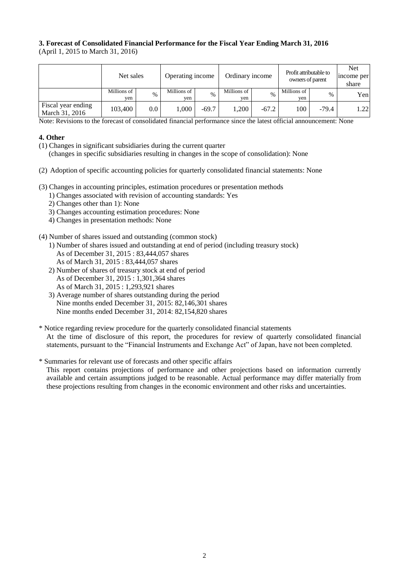## **3. Forecast of Consolidated Financial Performance for the Fiscal Year Ending March 31, 2016** (April 1, 2015 to March 31, 2016)

|                                      | Net sales          |         | Operating income   |         | Ordinary income    |               | Profit attributable to<br>owners of parent |               | <b>Net</b><br>income per<br>share |
|--------------------------------------|--------------------|---------|--------------------|---------|--------------------|---------------|--------------------------------------------|---------------|-----------------------------------|
|                                      | Millions of<br>ven | $\%$    | Millions of<br>ven | $\%$    | Millions of<br>ven | $\frac{0}{6}$ | Millions of<br>ven                         | $\frac{0}{0}$ | Yen                               |
| Fiscal year ending<br>March 31, 2016 | 103,400            | $0.0\,$ | 000.1              | $-69.7$ | 1.200              | $-67.2$       | 100-                                       | $-79.4$       | 1.22                              |

Note: Revisions to the forecast of consolidated financial performance since the latest official announcement: None

## **4. Other**

- (1) Changes in significant subsidiaries during the current quarter
	- (changes in specific subsidiaries resulting in changes in the scope of consolidation): None
- (2) Adoption of specific accounting policies for quarterly consolidated financial statements: None
- (3) Changes in accounting principles, estimation procedures or presentation methods
	- 1) Changes associated with revision of accounting standards: Yes
	- 2) Changes other than 1): None
	- 3) Changes accounting estimation procedures: None
	- 4) Changes in presentation methods: None
- (4) Number of shares issued and outstanding (common stock)
	- 1) Number of shares issued and outstanding at end of period (including treasury stock) As of December 31, 2015 : 83,444,057 shares As of March 31, 2015 : 83,444,057 shares
	- 2) Number of shares of treasury stock at end of period As of December 31, 2015 : 1,301,364 shares As of March 31, 2015 : 1,293,921 shares
	- 3) Average number of shares outstanding during the period Nine months ended December 31, 2015: 82,146,301 shares Nine months ended December 31, 2014: 82,154,820 shares
- \* Notice regarding review procedure for the quarterly consolidated financial statements At the time of disclosure of this report, the procedures for review of quarterly consolidated financial statements, pursuant to the "Financial Instruments and Exchange Act" of Japan, have not been completed.
- \* Summaries for relevant use of forecasts and other specific affairs This report contains projections of performance and other projections based on information currently available and certain assumptions judged to be reasonable. Actual performance may differ materially from these projections resulting from changes in the economic environment and other risks and uncertainties.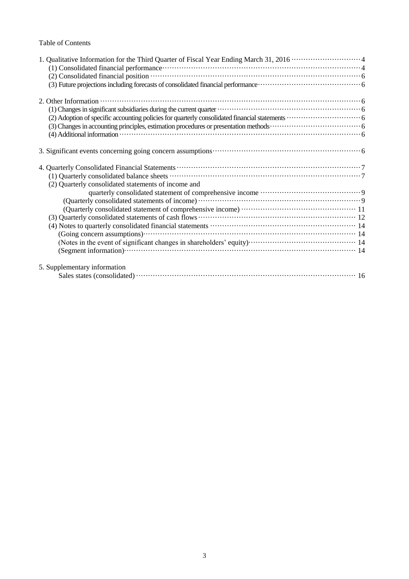## Table of Contents

| (1) Consolidated financial performance contains and contain a series of the series of the series of the series of the series of the series of the series of the series of the series of the series of the series of the series                                                                                                    |
|-----------------------------------------------------------------------------------------------------------------------------------------------------------------------------------------------------------------------------------------------------------------------------------------------------------------------------------|
|                                                                                                                                                                                                                                                                                                                                   |
| 2. Other Information $\cdots$ $\cdots$ $\cdots$ $\cdots$ $\cdots$ $\cdots$ $\cdots$ $\cdots$ $\cdots$ $\cdots$ $\cdots$ $\cdots$ $\cdots$ $\cdots$ $\cdots$ $\cdots$ $\cdots$ $\cdots$ $\cdots$ $\cdots$ $\cdots$ $\cdots$ $\cdots$ $\cdots$ $\cdots$ $\cdots$ $\cdots$ $\cdots$ $\cdots$ $\cdots$ $\cdots$ $\cdots$ $\cdots$ $\$ |
|                                                                                                                                                                                                                                                                                                                                   |
|                                                                                                                                                                                                                                                                                                                                   |
|                                                                                                                                                                                                                                                                                                                                   |
|                                                                                                                                                                                                                                                                                                                                   |
|                                                                                                                                                                                                                                                                                                                                   |
|                                                                                                                                                                                                                                                                                                                                   |
|                                                                                                                                                                                                                                                                                                                                   |
| (2) Quarterly consolidated statements of income and                                                                                                                                                                                                                                                                               |
|                                                                                                                                                                                                                                                                                                                                   |
|                                                                                                                                                                                                                                                                                                                                   |
|                                                                                                                                                                                                                                                                                                                                   |
|                                                                                                                                                                                                                                                                                                                                   |
|                                                                                                                                                                                                                                                                                                                                   |
|                                                                                                                                                                                                                                                                                                                                   |
|                                                                                                                                                                                                                                                                                                                                   |
|                                                                                                                                                                                                                                                                                                                                   |
| 5. Supplementary information                                                                                                                                                                                                                                                                                                      |
|                                                                                                                                                                                                                                                                                                                                   |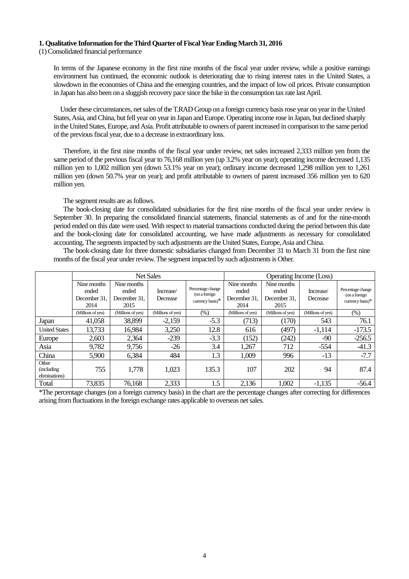#### **1. Qualitative Information for the Third Quarter of Fiscal Year Ending March 31, 2016**

(1) Consolidated financial performance

In terms of the Japanese economy in the first nine months of the fiscal year under review, while a positive earnings environment has continued, the economic outlook is deteriorating due to rising interest rates in the United States, a slowdown in the economies of China and the emerging countries, and the impact of low oil prices. Private consumption in Japan has also been on a sluggish recovery pace since the hike in the consumption tax rate last April.

Under these circumstances, net sales of the T.RAD Group on a foreign currency basis rose year on year in the United States, Asia, and China, but fell year on year in Japan and Europe. Operating income rose in Japan, but declined sharply in the United States, Europe, and Asia. Profit attributable to owners of parent increased in comparison to the same period of the previous fiscal year, due to a decrease in extraordinary loss.

Therefore, in the first nine months of the fiscal year under review, net sales increased 2,333 million yen from the same period of the previous fiscal year to 76,168 million yen (up 3.2% year on year); operating income decreased 1,135 million yen to 1,002 million yen (down 53.1% year on year); ordinary income decreased 1,298 million yen to 1,261 million yen (down 50.7% year on year); and profit attributable to owners of parent increased 356 million yen to 620 million yen.

The segment results are as follows.

The book-closing date for consolidated subsidiaries for the first nine months of the fiscal year under review is September 30. In preparing the consolidated financial statements, financial statements as of and for the nine-month period ended on this date were used. With respect to material transactions conducted during the period between this date and the book-closing date for consolidated accounting, we have made adjustments as necessary for consolidated accounting. The segments impacted by such adjustments are the United States, Europe, Asia and China.

The book-closing date for three domestic subsidiaries changed from December 31 to March 31 from the first nine months of the fiscal year under review. The segment impacted by such adjustments is Other.

|                                              | <b>Net Sales</b><br><b>Operating Income (Loss)</b> |                                              |                       |                                                        |                                              |                                              |                       |                                                           |
|----------------------------------------------|----------------------------------------------------|----------------------------------------------|-----------------------|--------------------------------------------------------|----------------------------------------------|----------------------------------------------|-----------------------|-----------------------------------------------------------|
|                                              | Nine months<br>ended<br>December 31.<br>2014       | Nine months<br>ended<br>December 31.<br>2015 | Increase/<br>Decrease | Percentage change<br>(on a foreign<br>currency basis)* | Nine months<br>ended<br>December 31.<br>2014 | Nine months<br>ended<br>December 31.<br>2015 | Increase/<br>Decrease | Percentage change<br>(on a foreign<br>currency basis) $*$ |
|                                              | (Millions of yen)                                  | (Millions of yen)                            | (Millions of yen)     | $(\%)$                                                 | (Millions of yen)                            | (Millions of yen)                            | (Millions of yen)     | $(\%)$                                                    |
| Japan                                        | 41,058                                             | 38,899                                       | $-2,159$              | $-5.3$                                                 | (713)                                        | (170)                                        | 543                   | 76.1                                                      |
| <b>United States</b>                         | 13,733                                             | 16,984                                       | 3,250                 | 12.8                                                   | 616                                          | (497)                                        | $-1,114$              | $-173.5$                                                  |
| Europe                                       | 2,603                                              | 2,364                                        | $-239$                | $-3.3$                                                 | (152)                                        | (242)                                        | $-90$                 | $-256.5$                                                  |
| Asia                                         | 9,782                                              | 9,756                                        | $-26$                 | 3.4                                                    | 1,267                                        | 712                                          | $-554$                | $-41.3$                                                   |
| China                                        | 5,900                                              | 6,384                                        | 484                   | 1.3                                                    | 1,009                                        | 996                                          | $-13$                 | $-7.7$                                                    |
| Other<br><i>(including)</i><br>eliminations) | 755                                                | 1,778                                        | 1,023                 | 135.3                                                  | 107                                          | 202                                          | 94                    | 87.4                                                      |
| Total                                        | 73,835                                             | 76,168                                       | 2,333                 | 1.5                                                    | 2,136                                        | 1,002                                        | $-1,135$              | $-56.4$                                                   |

\*The percentage changes (on a foreign currency basis) in the chart are the percentage changes after correcting for differences arising from fluctuations in the foreign exchange rates applicable to overseas net sales.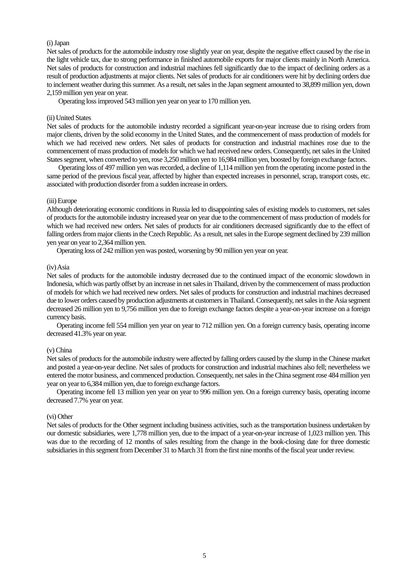## (i) Japan

Net sales of products for the automobile industry rose slightly year on year, despite the negative effect caused by the rise in the light vehicle tax, due to strong performance in finished automobile exports for major clients mainly in North America. Net sales of products for construction and industrial machines fell significantly due to the impact of declining orders as a result of production adjustments at major clients. Net sales of products for air conditioners were hit by declining orders due to inclement weather during this summer. As a result, net sales in the Japan segment amounted to 38,899 million yen, down 2,159 million yen year on year.

Operating loss improved 543 million yen year on year to 170 million yen.

#### (ii) United States

Net sales of products for the automobile industry recorded a significant year-on-year increase due to rising orders from major clients, driven by the solid economy in the United States, and the commencement of mass production of models for which we had received new orders. Net sales of products for construction and industrial machines rose due to the commencement of mass production of models for which we had received new orders. Consequently, net sales in the United States segment, when converted to yen, rose 3,250 million yen to 16,984 million yen, boosted by foreign exchange factors.

Operating loss of 497 million yen was recorded, a decline of 1,114 million yen from the operating income posted in the same period of the previous fiscal year, affected by higher than expected increases in personnel, scrap, transport costs, etc. associated with production disorder from a sudden increase in orders.

#### (iii) Europe

Although deteriorating economic conditions in Russia led to disappointing sales of existing models to customers, net sales of products for the automobile industry increased year on year due to the commencement of mass production of models for which we had received new orders. Net sales of products for air conditioners decreased significantly due to the effect of falling orders from major clients in the Czech Republic. As a result, net sales in the Europe segment declined by 239 million yen year on year to 2,364 million yen.

Operating loss of 242 million yen was posted, worsening by 90 million yen year on year.

### (iv) Asia

Net sales of products for the automobile industry decreased due to the continued impact of the economic slowdown in Indonesia, which was partly offset by an increase in net sales in Thailand, driven by the commencement of mass production of models for which we had received new orders. Net sales of products for construction and industrial machines decreased due to lower orders caused by production adjustments at customers in Thailand. Consequently, net sales in the Asia segment decreased 26 million yen to 9,756 million yen due to foreign exchange factors despite a year-on-year increase on a foreign currency basis.

Operating income fell 554 million yen year on year to 712 million yen. On a foreign currency basis, operating income decreased 41.3% year on year.

#### (v) China

Net sales of products for the automobile industry were affected by falling orders caused by the slump in the Chinese market and posted a year-on-year decline. Net sales of products for construction and industrial machines also fell; nevertheless we entered the motor business, and commenced production. Consequently, net sales in the China segment rose 484 million yen year on year to 6,384 million yen, due to foreign exchange factors.

Operating income fell 13 million yen year on year to 996 million yen. On a foreign currency basis, operating income decreased 7.7% year on year.

## (vi) Other

Net sales of products for the Other segment including business activities, such as the transportation business undertaken by our domestic subsidiaries, were 1,778 million yen, due to the impact of a year-on-year increase of 1,023 million yen. This was due to the recording of 12 months of sales resulting from the change in the book-closing date for three domestic subsidiaries in this segment from December 31 to March 31 from the first nine months of the fiscal year under review.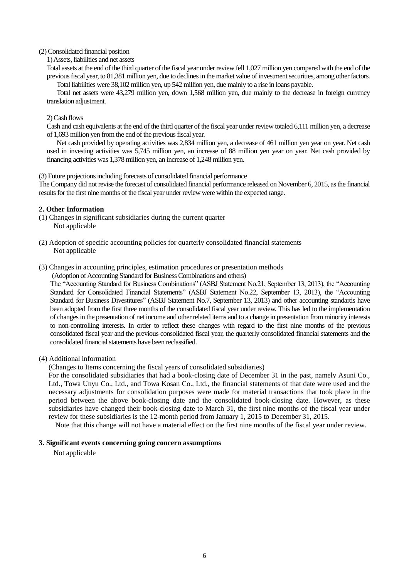### (2) Consolidated financial position

1) Assets, liabilities and net assets

Total assets at the end of the third quarter of the fiscal year under review fell 1,027 million yen compared with the end of the previous fiscal year, to 81,381 million yen, due to declines in the market value of investment securities, among other factors. Total liabilities were 38,102 million yen, up 542 million yen, due mainly to a rise in loans payable.

Total net assets were 43,279 million yen, down 1,568 million yen, due mainly to the decrease in foreign currency translation adjustment.

### 2) Cash flows

Cash and cash equivalents at the end of the third quarter of the fiscal year under review totaled 6,111 million yen, a decrease of 1,693 million yen from the end of the previous fiscal year.

Net cash provided by operating activities was 2,834 million yen, a decrease of 461 million yen year on year. Net cash used in investing activities was 5,745 million yen, an increase of 88 million yen year on year. Net cash provided by financing activities was 1,378 million yen, an increase of 1,248 million yen.

(3) Future projections including forecasts of consolidated financial performance

The Company did not revise the forecast of consolidated financial performance released on November 6, 2015, as the financial results for the first nine months of the fiscal year under review were within the expected range.

## **2. Other Information**

- (1) Changes in significant subsidiaries during the current quarter Not applicable
- (2) Adoption of specific accounting policies for quarterly consolidated financial statements Not applicable
- (3) Changes in accounting principles, estimation procedures or presentation methods

(Adoption of Accounting Standard for Business Combinations and others)

The "Accounting Standard for Business Combinations" (ASBJ Statement No.21, September 13, 2013), the "Accounting Standard for Consolidated Financial Statements" (ASBJ Statement No.22, September 13, 2013), the "Accounting Standard for Business Divestitures" (ASBJ Statement No.7, September 13, 2013) and other accounting standards have been adopted from the first three months of the consolidated fiscal year under review. This has led to the implementation of changes in the presentation of net income and other related items and to a change in presentation from minority interests to non-controlling interests. In order to reflect these changes with regard to the first nine months of the previous consolidated fiscal year and the previous consolidated fiscal year, the quarterly consolidated financial statements and the consolidated financial statements have been reclassified.

#### (4) Additional information

(Changes to Items concerning the fiscal years of consolidated subsidiaries)

For the consolidated subsidiaries that had a book-closing date of December 31 in the past, namely Asuni Co., Ltd., Towa Unyu Co., Ltd., and Towa Kosan Co., Ltd., the financial statements of that date were used and the necessary adjustments for consolidation purposes were made for material transactions that took place in the period between the above book-closing date and the consolidated book-closing date. However, as these subsidiaries have changed their book-closing date to March 31, the first nine months of the fiscal year under review for these subsidiaries is the 12-month period from January 1, 2015 to December 31, 2015.

Note that this change will not have a material effect on the first nine months of the fiscal year under review.

### **3. Significant events concerning going concern assumptions**

Not applicable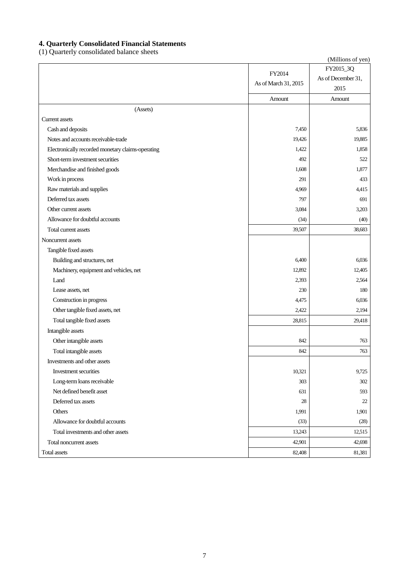## **4. Quarterly Consolidated Financial Statements**

(1) Quarterly consolidated balance sheets

|                                                   |                      | (Millions of yen)  |
|---------------------------------------------------|----------------------|--------------------|
|                                                   | FY2014               | FY2015_3Q          |
|                                                   | As of March 31, 2015 | As of December 31, |
|                                                   |                      | 2015               |
|                                                   | Amount               | Amount             |
| (Assets)                                          |                      |                    |
| <b>Current assets</b>                             |                      |                    |
| Cash and deposits                                 | 7,450                | 5,836              |
| Notes and accounts receivable-trade               | 19,426               | 19,885             |
| Electronically recorded monetary claims-operating | 1,422                | 1,858              |
| Short-term investment securities                  | 492                  | 522                |
| Merchandise and finished goods                    | 1,608                | 1,877              |
| Work in process                                   | 291                  | 433                |
| Raw materials and supplies                        | 4,969                | 4,415              |
| Deferred tax assets                               | 797                  | 691                |
| Other current assets                              | 3,084                | 3,203              |
| Allowance for doubtful accounts                   | (34)                 | (40)               |
| Total current assets                              | 39,507               | 38,683             |
| Noncurrent assets                                 |                      |                    |
| Tangible fixed assets                             |                      |                    |
| Building and structures, net                      | 6,400                | 6,036              |
| Machinery, equipment and vehicles, net            | 12,892               | 12,405             |
| Land                                              | 2,393                | 2,564              |
| Lease assets, net                                 | 230                  | 180                |
| Construction in progress                          | 4,475                | 6,036              |
| Other tangible fixed assets, net                  | 2,422                | 2,194              |
| Total tangible fixed assets                       | 28,815               | 29,418             |
| Intangible assets                                 |                      |                    |
| Other intangible assets                           | 842                  | 763                |
| Total intangible assets                           | 842                  | 763                |
| Investments and other assets                      |                      |                    |
| Investment securities                             | 10,321               | 9,725              |
| Long-term loans receivable                        | 303                  | 302                |
| Net defined benefit asset                         | 631                  | 593                |
| Deferred tax assets                               | 28                   | 22                 |
| Others                                            | 1,991                | 1,901              |
| Allowance for doubtful accounts                   | (33)                 | (28)               |
| Total investments and other assets                | 13,243               | 12,515             |
| Total noncurrent assets                           | 42,901               | 42,698             |
| <b>Total assets</b>                               | 82,408               | 81,381             |
|                                                   |                      |                    |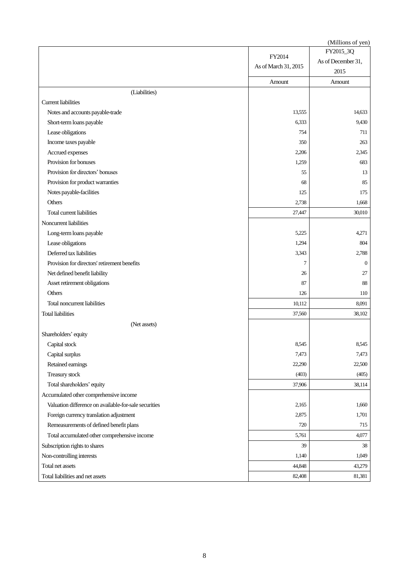|                                                       |                      | (Millions of yen)  |
|-------------------------------------------------------|----------------------|--------------------|
|                                                       | FY2014               | FY2015_3Q          |
|                                                       | As of March 31, 2015 | As of December 31, |
|                                                       |                      | 2015               |
|                                                       | Amount               | Amount             |
| (Liabilities)                                         |                      |                    |
| <b>Current liabilities</b>                            |                      |                    |
| Notes and accounts payable-trade                      | 13,555               | 14,633             |
| Short-term loans payable                              | 6,333                | 9,430              |
| Lease obligations                                     | 754                  | 711                |
| Income taxes payable                                  | 350                  | 263                |
| Accrued expenses                                      | 2,206                | 2,345              |
| Provision for bonuses                                 | 1,259                | 683                |
| Provision for directors' bonuses                      | 55                   | 13                 |
| Provision for product warranties                      | 68                   | 85                 |
| Notes payable-facilities                              | 125                  | 175                |
| Others                                                | 2,738                | 1,668              |
| Total current liabilities                             | 27,447               | 30,010             |
| Noncurrent liabilities                                |                      |                    |
| Long-term loans payable                               | 5,225                | 4,271              |
| Lease obligations                                     | 1,294                | 804                |
| Deferred tax liabilities                              | 3,343                | 2,788              |
| Provision for directors' retirement benefits          | 7                    | $\mathbf{0}$       |
| Net defined benefit liability                         | 26                   | 27                 |
| Asset retirement obligations                          | 87                   | 88                 |
| Others                                                | 126                  | 110                |
| Total noncurrent liabilities                          | 10,112               | 8,091              |
| <b>Total liabilities</b>                              | 37,560               | 38,102             |
| (Net assets)                                          |                      |                    |
| Shareholders' equity                                  |                      |                    |
| Capital stock                                         | 8,545                | 8,545              |
| Capital surplus                                       | 7,473                | 7,473              |
| Retained earnings                                     | 22,290               | 22,500             |
| Treasury stock                                        | (403)                | (405)              |
| Total shareholders' equity                            | 37,906               | 38,114             |
| Accumulated other comprehensive income                |                      |                    |
| Valuation difference on available-for-sale securities | 2,165                | 1,660              |
| Foreign currency translation adjustment               | 2,875                | 1,701              |
| Remeasurements of defined benefit plans               | 720                  | 715                |
| Total accumulated other comprehensive income          | 5,761                | 4,077              |
| Subscription rights to shares                         | 39                   | 38                 |
| Non-controlling interests                             | 1,140                | 1,049              |
| Total net assets                                      | 44,848               | 43,279             |
| Total liabilities and net assets                      | 82,408               | 81,381             |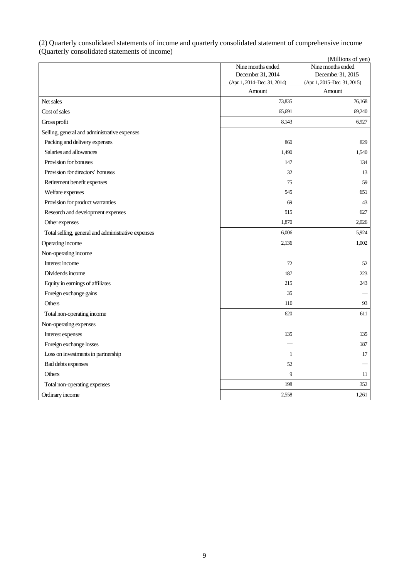#### (2) Quarterly consolidated statements of income and quarterly consolidated statement of comprehensive income (Quarterly consolidated statements of income) (Millions of yen)

|                                                    |                                        | (MILLIONS OF YEN)                      |
|----------------------------------------------------|----------------------------------------|----------------------------------------|
|                                                    | Nine months ended<br>December 31, 2014 | Nine months ended<br>December 31, 2015 |
|                                                    | (Apr. 1, 2014–Dec. 31, 2014)           | (Apr. 1, 2015–Dec. 31, 2015)           |
|                                                    | Amount                                 | Amount                                 |
| Net sales                                          | 73,835                                 | 76,168                                 |
| Cost of sales                                      | 65,691                                 | 69,240                                 |
| Gross profit                                       | 8,143                                  | 6,927                                  |
| Selling, general and administrative expenses       |                                        |                                        |
| Packing and delivery expenses                      | 860                                    | 829                                    |
| Salaries and allowances                            | 1,490                                  | 1,540                                  |
| Provision for bonuses                              | 147                                    | 134                                    |
| Provision for directors' bonuses                   | 32                                     | 13                                     |
| Retirement benefit expenses                        | 75                                     | 59                                     |
| Welfare expenses                                   | 545                                    | 651                                    |
| Provision for product warranties                   | 69                                     | 43                                     |
| Research and development expenses                  | 915                                    | 627                                    |
| Other expenses                                     | 1,870                                  | 2,026                                  |
| Total selling, general and administrative expenses | 6,006                                  | 5,924                                  |
| Operating income                                   | 2,136                                  | 1,002                                  |
| Non-operating income                               |                                        |                                        |
| Interest income                                    | 72                                     | 52                                     |
| Dividends income                                   | 187                                    | 223                                    |
| Equity in earnings of affiliates                   | 215                                    | 243                                    |
| Foreign exchange gains                             | 35                                     |                                        |
| Others                                             | 110                                    | 93                                     |
| Total non-operating income                         | 620                                    | 611                                    |
| Non-operating expenses                             |                                        |                                        |
| Interest expenses                                  | 135                                    | 135                                    |
| Foreign exchange losses                            |                                        | 187                                    |
| Loss on investments in partnership                 | 1                                      | 17                                     |
| Bad debts expenses                                 | 52                                     |                                        |
| Others                                             | 9                                      | 11                                     |
| Total non-operating expenses                       | 198                                    | 352                                    |
| Ordinary income                                    | 2,558                                  | 1,261                                  |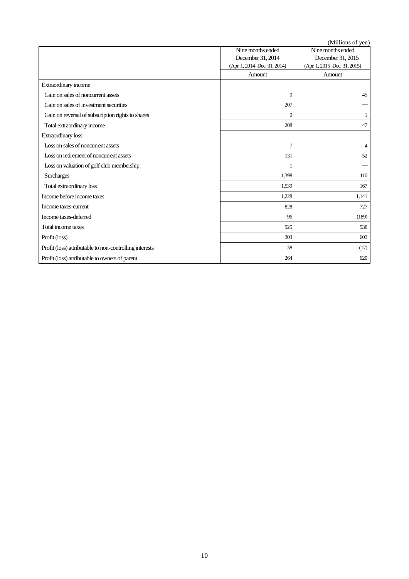(Millions of yen)

|                                                         | Nine months ended            | (1)<br>Nine months ended     |
|---------------------------------------------------------|------------------------------|------------------------------|
|                                                         | December 31, 2014            | December 31, 2015            |
|                                                         | (Apr. 1, 2014–Dec. 31, 2014) | (Apr. 1, 2015–Dec. 31, 2015) |
|                                                         | Amount                       | Amount                       |
| Extraordinary income                                    |                              |                              |
| Gain on sales of noncurrent assets                      | $\Omega$                     | 45                           |
| Gain on sales of investment securities                  | 207                          |                              |
| Gain on reversal of subscription rights to shares       | $\Omega$                     |                              |
| Total extraordinary income                              | 208                          | 47                           |
| <b>Extraordinary</b> loss                               |                              |                              |
| Loss on sales of noncurrent assets                      | $\overline{7}$               | 4                            |
| Loss on retirement of noncurrent assets                 | 131                          | 52                           |
| Loss on valuation of golf club membership               |                              |                              |
| <b>Surcharges</b>                                       | 1,398                        | 110                          |
| Total extraordinary loss                                | 1,539                        | 167                          |
| Income before income taxes                              | 1,228                        | 1,141                        |
| Income taxes-current                                    | 828                          | 727                          |
| Income taxes-deferred                                   | 96                           | (189)                        |
| Total income taxes                                      | 925                          | 538                          |
| Profit (loss)                                           | 303                          | 603                          |
| Profit (loss) attributable to non-controlling interests | 38                           | (17)                         |
| Profit (loss) attributable to owners of parent          | 264                          | 620                          |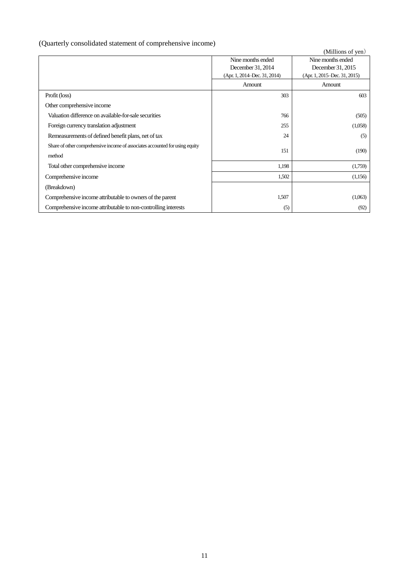# (Quarterly consolidated statement of comprehensive income)

|                                                                              |                              | (Millions of yen)            |
|------------------------------------------------------------------------------|------------------------------|------------------------------|
|                                                                              | Nine months ended            | Nine months ended            |
|                                                                              | December 31, 2014            | December 31, 2015            |
|                                                                              | (Apr. 1, 2014–Dec. 31, 2014) | (Apr. 1, 2015–Dec. 31, 2015) |
|                                                                              | Amount                       | Amount                       |
| Profit (loss)                                                                | 303                          | 603                          |
| Other comprehensive income                                                   |                              |                              |
| Valuation difference on available-for-sale securities                        | 766                          | (505)                        |
| Foreign currency translation adjustment                                      | 255                          | (1,058)                      |
| Remeasurements of defined benefit plans, net of tax                          | 24                           | (5)                          |
| Share of other comprehensive income of associates accounted for using equity | 151                          | (190)                        |
| method                                                                       |                              |                              |
| Total other comprehensive income                                             | 1,198                        | (1,759)                      |
| Comprehensive income                                                         | 1,502                        | (1,156)                      |
| (Breakdown)                                                                  |                              |                              |
| Comprehensive income attributable to owners of the parent                    | 1,507                        | (1,063)                      |
| Comprehensive income attributable to non-controlling interests               | (5)                          | (92)                         |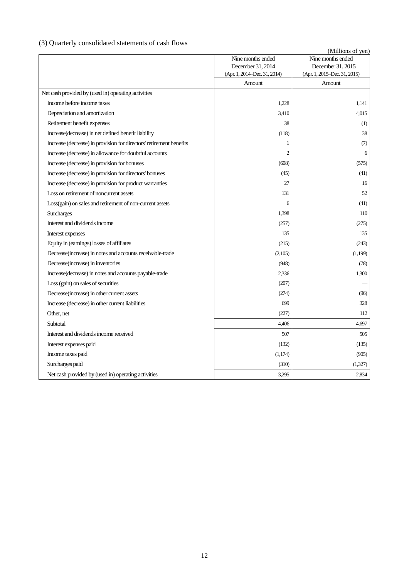# (3) Quarterly consolidated statements of cash flows

| consonance statements of easily no                                  | (Millions of yen)                      |                                        |  |  |  |
|---------------------------------------------------------------------|----------------------------------------|----------------------------------------|--|--|--|
|                                                                     | Nine months ended                      | Nine months ended                      |  |  |  |
|                                                                     | December 31, 2014                      | December 31, 2015                      |  |  |  |
|                                                                     | (Apr. 1, 2014–Dec. 31, 2014)<br>Amount | (Apr. 1, 2015–Dec. 31, 2015)<br>Amount |  |  |  |
| Net cash provided by (used in) operating activities                 |                                        |                                        |  |  |  |
| Income before income taxes                                          | 1,228                                  | 1,141                                  |  |  |  |
| Depreciation and amortization                                       | 3,410                                  | 4,015                                  |  |  |  |
| Retirement benefit expenses                                         | 38                                     | (1)                                    |  |  |  |
| Increase(decrease) in net defined benefit liability                 | (118)                                  | 38                                     |  |  |  |
| Increase (decrease) in provision for directors' retirement benefits | 1                                      | (7)                                    |  |  |  |
| Increase (decrease) in allowance for doubtful accounts              | $\overline{2}$                         | 6                                      |  |  |  |
| Increase (decrease) in provision for bonuses                        | (608)                                  | (575)                                  |  |  |  |
| Increase (decrease) in provision for directors' bonuses             | (45)                                   | (41)                                   |  |  |  |
| Increase (decrease) in provision for product warranties             | 27                                     | 16                                     |  |  |  |
| Loss on retirement of noncurrent assets                             | 131                                    | 52                                     |  |  |  |
| Loss(gain) on sales and retirement of non-current assets            | 6                                      | (41)                                   |  |  |  |
| Surcharges                                                          | 1,398                                  | 110                                    |  |  |  |
| Interest and dividends income                                       | (257)                                  | (275)                                  |  |  |  |
| Interest expenses                                                   | 135                                    | 135                                    |  |  |  |
| Equity in (earnings) losses of affiliates                           | (215)                                  | (243)                                  |  |  |  |
| Decrease (increase) in notes and accounts receivable-trade          | (2,105)                                | (1,199)                                |  |  |  |
| Decrease (increase) in inventories                                  | (948)                                  | (78)                                   |  |  |  |
| Increase(decrease) in notes and accounts payable-trade              | 2,336                                  | 1,300                                  |  |  |  |
| Loss (gain) on sales of securities                                  | (207)                                  |                                        |  |  |  |
| Decrease(increase) in other current assets                          | (274)                                  | (96)                                   |  |  |  |
| Increase (decrease) in other current liabilities                    | 699                                    | 328                                    |  |  |  |
| Other, net                                                          | (227)                                  | 112                                    |  |  |  |
| Subtotal                                                            | 4,406                                  | 4,697                                  |  |  |  |
| Interest and dividends income received                              | 507                                    | 505                                    |  |  |  |
| Interest expenses paid                                              | (132)                                  | (135)                                  |  |  |  |
| Income taxes paid                                                   | (1,174)                                | (905)                                  |  |  |  |
| Surcharges paid                                                     | (310)                                  | (1,327)                                |  |  |  |
| Net cash provided by (used in) operating activities                 | 3,295                                  | 2,834                                  |  |  |  |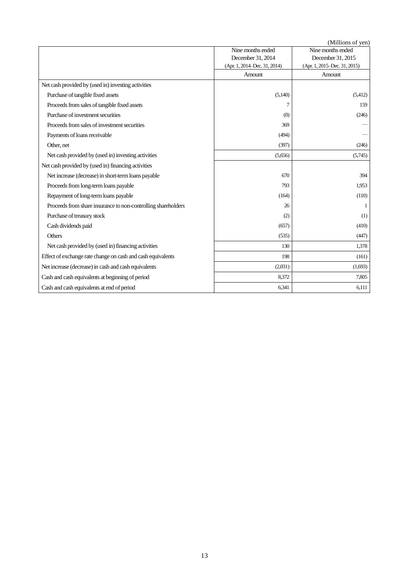(Millions of yen)

|                                                               | (ivililioiis of yeif)        |                              |  |  |  |
|---------------------------------------------------------------|------------------------------|------------------------------|--|--|--|
|                                                               | Nine months ended            | Nine months ended            |  |  |  |
|                                                               | December 31, 2014            | December 31, 2015            |  |  |  |
|                                                               | (Apr. 1, 2014–Dec. 31, 2014) | (Apr. 1, 2015–Dec. 31, 2015) |  |  |  |
|                                                               | Amount                       | Amount                       |  |  |  |
| Net cash provided by (used in) investing activities           |                              |                              |  |  |  |
| Purchase of tangible fixed assets                             | (5,140)                      | (5,412)                      |  |  |  |
| Proceeds from sales of tangible fixed assets                  | 7                            | 159                          |  |  |  |
| Purchase of investment securities                             | (0)                          | (246)                        |  |  |  |
| Proceeds from sales of investment securities                  | 369                          |                              |  |  |  |
| Payments of loans receivable                                  | (494)                        |                              |  |  |  |
| Other, net                                                    | (397)                        | (246)                        |  |  |  |
| Net cash provided by (used in) investing activities           | (5,656)                      | (5,745)                      |  |  |  |
| Net cash provided by (used in) financing activities           |                              |                              |  |  |  |
| Net increase (decrease) in short-term loans payable           | 670                          | 394                          |  |  |  |
| Proceeds from long-term loans payable                         | 793                          | 1,953                        |  |  |  |
| Repayment of long-term loans payable                          | (164)                        | (110)                        |  |  |  |
| Proceeds from share insurance to non-controlling shareholders | 26                           |                              |  |  |  |
| Purchase of treasury stock                                    | (2)                          | (1)                          |  |  |  |
| Cash dividends paid                                           | (657)                        | (410)                        |  |  |  |
| Others                                                        | (535)                        | (447)                        |  |  |  |
| Net cash provided by (used in) financing activities           | 130                          | 1,378                        |  |  |  |
| Effect of exchange rate change on cash and cash equivalents   | 198                          | (161)                        |  |  |  |
| Net increase (decrease) in cash and cash equivalents          | (2,031)                      | (1,693)                      |  |  |  |
| Cash and cash equivalents at beginning of period              | 8,372                        | 7,805                        |  |  |  |
| Cash and cash equivalents at end of period                    | 6,341                        | 6,111                        |  |  |  |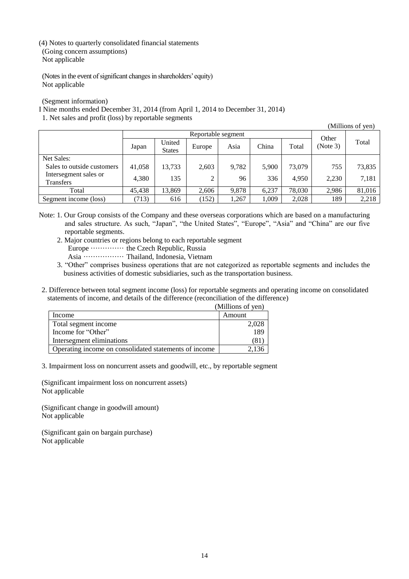(4) Notes to quarterly consolidated financial statements (Going concern assumptions) Not applicable

(Notes in the event of significant changes in shareholders' equity) Not applicable

(Segment information)

I Nine months ended December 31, 2014 (from April 1, 2014 to December 31, 2014)

1. Net sales and profit (loss) by reportable segments

(Millions of yen)

|                                           |        | Reportable segment      |        |       |       |        | Other    |        |
|-------------------------------------------|--------|-------------------------|--------|-------|-------|--------|----------|--------|
|                                           | Japan  | United<br><b>States</b> | Europe | Asia  | China | Total  | (Note 3) | Total  |
| Net Sales:                                |        |                         |        |       |       |        |          |        |
| Sales to outside customers                | 41,058 | 13,733                  | 2,603  | 9,782 | 5.900 | 73,079 | 755      | 73,835 |
| Intersegment sales or<br><b>Transfers</b> | 4.380  | 135                     | 2      | 96    | 336   | 4.950  | 2,230    | 7,181  |
| Total                                     | 45,438 | 13,869                  | 2,606  | 9,878 | 6.237 | 78,030 | 2,986    | 81,016 |
| Segment income (loss)                     | (713)  | 616                     | (152)  | ,267  | 1,009 | 2,028  | 189      | 2,218  |

Note: 1. Our Group consists of the Company and these overseas corporations which are based on a manufacturing and sales structure. As such, "Japan", "the United States", "Europe", "Asia" and "China" are our five reportable segments.

2. Major countries or regions belong to each reportable segment

Europe ·············· the Czech Republic, Russia

Asia ················· Thailand, Indonesia, Vietnam

3. "Other" comprises business operations that are not categorized as reportable segments and includes the business activities of domestic subsidiaries, such as the transportation business.

2. Difference between total segment income (loss) for reportable segments and operating income on consolidated statements of income, and details of the difference (reconciliation of the difference)

| Income                                                | Amount |
|-------------------------------------------------------|--------|
| Total segment income                                  | 2,028  |
| Income for "Other"                                    |        |
| Intersegment eliminations                             |        |
| Operating income on consolidated statements of income |        |

3. Impairment loss on noncurrent assets and goodwill, etc., by reportable segment

(Significant impairment loss on noncurrent assets) Not applicable

(Significant change in goodwill amount) Not applicable

(Significant gain on bargain purchase) Not applicable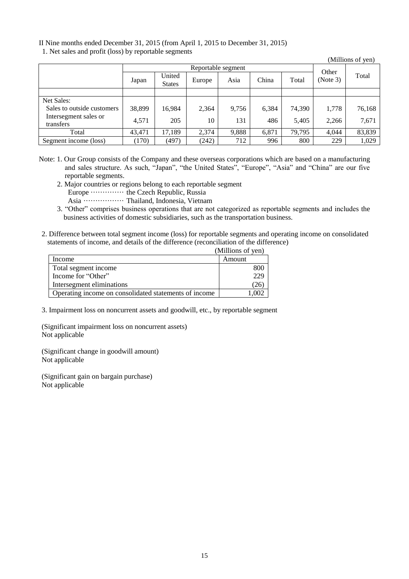II Nine months ended December 31, 2015 (from April 1, 2015 to December 31, 2015)

1. Net sales and profit (loss) by reportable segments

| $\ldots$ and $\ldots$ profit (1000) $\sigma$ , reported begine $\sigma$ |        |                         |        |       |       |        |          | (Millions of yen) |
|-------------------------------------------------------------------------|--------|-------------------------|--------|-------|-------|--------|----------|-------------------|
| Reportable segment                                                      |        |                         |        |       |       | Other  |          |                   |
|                                                                         | Japan  | United<br><b>States</b> | Europe | Asia  | China | Total  | (Note 3) | Total             |
|                                                                         |        |                         |        |       |       |        |          |                   |
| Net Sales:                                                              |        |                         |        |       |       |        |          |                   |
| Sales to outside customers                                              | 38,899 | 16,984                  | 2,364  | 9,756 | 6.384 | 74.390 | 1,778    | 76,168            |
| Intersegment sales or<br>transfers                                      | 4,571  | 205                     | 10     | 131   | 486   | 5,405  | 2,266    | 7,671             |
| Total                                                                   | 43,471 | 17,189                  | 2,374  | 9,888 | 6,871 | 79,795 | 4.044    | 83,839            |
| Segment income (loss)                                                   | (170)  | (497)                   | (242)  | 712   | 996   | 800    | 229      | 1,029             |

Note: 1. Our Group consists of the Company and these overseas corporations which are based on a manufacturing and sales structure. As such, "Japan", "the United States", "Europe", "Asia" and "China" are our five reportable segments.

- 2. Major countries or regions belong to each reportable segment
	- Europe ···················· the Czech Republic, Russia
- Asia ················· Thailand, Indonesia, Vietnam
- 3. "Other" comprises business operations that are not categorized as reportable segments and includes the business activities of domestic subsidiaries, such as the transportation business.
- 2. Difference between total segment income (loss) for reportable segments and operating income on consolidated statements of income, and details of the difference (reconciliation of the difference)

|                                                       | (Millions of yen) |
|-------------------------------------------------------|-------------------|
| Income                                                | Amount            |
| Total segment income                                  | 800               |
| Income for "Other"                                    | 229               |
| Intersegment eliminations                             | '26)              |
| Operating income on consolidated statements of income | 1.002             |

3. Impairment loss on noncurrent assets and goodwill, etc., by reportable segment

(Significant impairment loss on noncurrent assets) Not applicable

(Significant change in goodwill amount) Not applicable

(Significant gain on bargain purchase) Not applicable